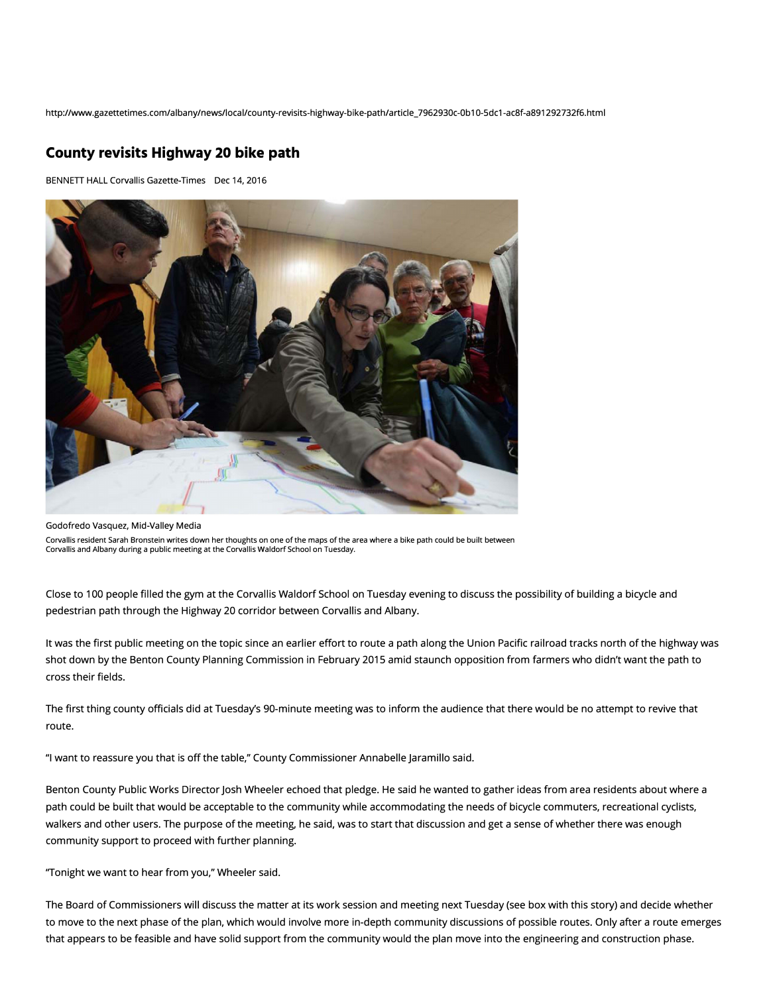http://www.gazettetimes.com/albany/news/local/county-revisits-highway-bike-path/article\_7962930c-0b10-5dc1-ac8f-a891292732f6.html

## **County revisits Highway 20 bike path**

BENNETT HALL Corvallis Gazette-Times Dec 14, 2016



Godofredo Vasquez, Mid-Valley Media

Corvallis resident Sarah Bronstein writes down her thoughts on one of the maps of the area where a bike path could be built between Corvallis and Albany during a public meeting at the Corvallis Waldorf School on Tuesday.

Close to 100 people filled the gym at the Corvallis Waldorf School on Tuesday evening to discuss the possibility of building a bicycle and pedestrian path through the Highway 20 corridor between Corvallis and Albany.

It was the first public meeting on the topic since an earlier effort to route a path along the Union Pacific railroad tracks north of the highway was shot down by the Benton County Planning Commission in February 2015 amid staunch opposition from farmers who didn't want the path to cross their fields.

The first thing county officials did at Tuesday's 90-minute meeting was to inform the audience that there would be no attempt to revive that route.

"I want to reassure you that is *off* the table," County Commissioner Annabelle Jaramillo said.

Benton County Public Works Director Josh Wheeler echoed that pledge. He said he wanted to gather ideas from area residents about where a path could be built that would be acceptable to the community while accommodating the needs of bicycle commuters, recreational cyclists, walkers and other users. The purpose of the meeting, he said, was to start that discussion and get a sense of whether there was enough community support to proceed with further planning.

"Tonight we want to hear from you," Wheeler said.

The Board of Commissioners will discuss the matter at its work session and meeting next Tuesday (see box with this story) and decide whether to move to the next phase of the plan, which would involve more in-depth community discussions of possible routes. Only after a route emerges that appears to be feasible and have solid support from the community would the plan move into the engineering and construction phase.